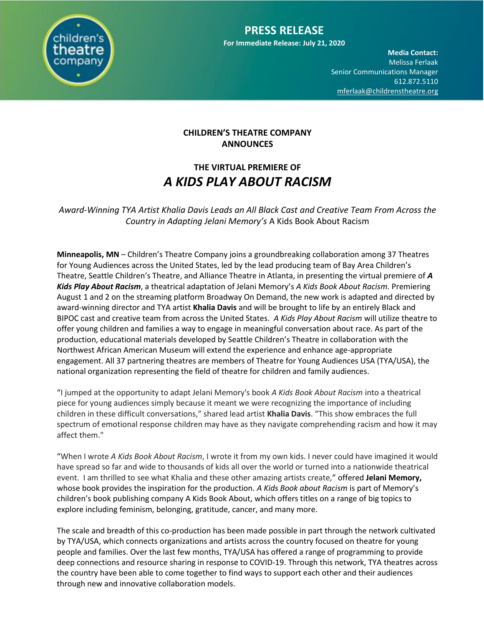

**Media Contact:**  Melissa Ferlaak Senior Communications Manager 612.872.5110 [mferlaak@childrenstheatre.org](mailto:mferlaak@childrenstheatre.org)

## **CHILDREN'S THEATRE COMPANY ANNOUNCES**

## **THE VIRTUAL PREMIERE OF** *A KIDS PLAY ABOUT RACISM*

*Award-Winning TYA Artist Khalia Davis Leads an All Black Cast and Creative Team From Across the Country in Adapting Jelani Memory's* A Kids Book About Racism

**Minneapolis, MN** – Children's Theatre Company joins a groundbreaking collaboration among 37 Theatres for Young Audiences across the United States, led by the lead producing team of Bay Area Children's Theatre, Seattle Children's Theatre, and Alliance Theatre in Atlanta, in presenting the virtual premiere of *A Kids Play About Racism*, a theatrical adaptation of Jelani Memory's *A Kids Book About Racism.* Premiering August 1 and 2 on the streaming platform Broadway On Demand, the new work is adapted and directed by award-winning director and TYA artist **Khalia Davis** and will be brought to life by an entirely Black and BIPOC cast and creative team from across the United States. *A Kids Play About Racism* will utilize theatre to offer young children and families a way to engage in meaningful conversation about race. As part of the production, educational materials developed by Seattle Children's Theatre in collaboration with the Northwest African American Museum will extend the experience and enhance age-appropriate engagement. All 37 partnering theatres are members of Theatre for Young Audiences USA (TYA/USA), the national organization representing the field of theatre for children and family audiences.

"I jumped at the opportunity to adapt Jelani Memory's book *A Kids Book About Racism* into a theatrical piece for young audiences simply because it meant we were recognizing the importance of including children in these difficult conversations," shared lead artist **Khalia Davis**. "This show embraces the full spectrum of emotional response children may have as they navigate comprehending racism and how it may affect them."

"When I wrote *A Kids Book About Racism*, I wrote it from my own kids. I never could have imagined it would have spread so far and wide to thousands of kids all over the world or turned into a nationwide theatrical event. I am thrilled to see what Khalia and these other amazing artists create," offered **Jelani Memory,** whose book provides the inspiration for the production. *A Kids Book about Racism* is part of Memory's children's book publishing company A Kids Book About, which offers titles on a range of big topics to explore including feminism, belonging, gratitude, cancer, and many more.

The scale and breadth of this co-production has been made possible in part through the network cultivated by TYA/USA, which connects organizations and artists across the country focused on theatre for young people and families. Over the last few months, TYA/USA has offered a range of programming to provide deep connections and resource sharing in response to COVID-19. Through this network, TYA theatres across the country have been able to come together to find ways to support each other and their audiences through new and innovative collaboration models.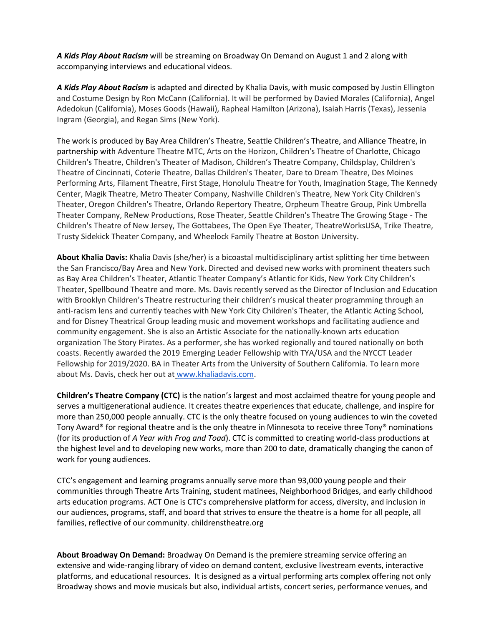A Kids Play About Racism will be streaming on Broadway On Demand on August 1 and 2 along with accompanying interviews and educational videos.

A Kids Play About Racism is adapted and directed by Khalia Davis, with music composed by Justin Ellington and Costume Design by Ron McCann (California). It will be performed by Davied Morales (California), Angel Adedokun (California), Moses Goods (Hawaii), Rapheal Hamilton (Arizona), Isaiah Harris (Texas), Jessenia Ingram (Georgia), and Regan Sims (New York).

The work is produced by Bay Area Children's Theatre, Seattle Children's Theatre, and Alliance Theatre, in partnership with Adventure Theatre MTC, Arts on the Horizon, Children's Theatre of Charlotte, Chicago Children's Theatre, Children's Theater of Madison, Children's Theatre Company, Childsplay, Children's Theatre of Cincinnati, Coterie Theatre, Dallas Children's Theater, Dare to Dream Theatre, Des Moines Performing Arts, Filament Theatre, First Stage, Honolulu Theatre for Youth, Imagination Stage, The Kennedy Center, Magik Theatre, Metro Theater Company, Nashville Children's Theatre, New York City Children's Theater, Oregon Children's Theatre, Orlando Repertory Theatre, Orpheum Theatre Group, Pink Umbrella Theater Company, ReNew Productions, Rose Theater, Seattle Children's Theatre The Growing Stage - The Children's Theatre of New Jersey, The Gottabees, The Open Eye Theater, TheatreWorksUSA, Trike Theatre, Trusty Sidekick Theater Company, and Wheelock Family Theatre at Boston University.

**About Khalia Davis:** Khalia Davis (she/her) is a bicoastal multidisciplinary artist splitting her time between the San Francisco/Bay Area and New York. Directed and devised new works with prominent theaters such as Bay Area Children's Theater, Atlantic Theater Company's Atlantic for Kids, New York City Children's Theater, Spellbound Theatre and more. Ms. Davis recently served as the Director of Inclusion and Education with Brooklyn Children's Theatre restructuring their children's musical theater programming through an anti-racism lens and currently teaches with New York City Children's Theater, the Atlantic Acting School, and for Disney Theatrical Group leading music and movement workshops and facilitating audience and community engagement. She is also an Artistic Associate for the nationally-known arts education organization The Story Pirates. As a performer, she has worked regionally and toured nationally on both coasts. Recently awarded the 2019 Emerging Leader Fellowship with TYA/USA and the NYCCT Leader Fellowship for 2019/2020. BA in Theater Arts from the University of Southern California. To learn more about Ms. Davis, check her out at [www.khaliadavis.com.](http://www.khaliadavis.com/)

**Children's Theatre Company (CTC)** is the nation's largest and most acclaimed theatre for young people and serves a multigenerational audience. It creates theatre experiences that educate, challenge, and inspire for more than 250,000 people annually. CTC is the only theatre focused on young audiences to win the coveted Tony Award® for regional theatre and is the only theatre in Minnesota to receive three Tony® nominations (for its production of *A Year with Frog and Toad*). CTC is committed to creating world-class productions at the highest level and to developing new works, more than 200 to date, dramatically changing the canon of work for young audiences.

CTC's engagement and learning programs annually serve more than 93,000 young people and their communities through Theatre Arts Training, student matinees, Neighborhood Bridges, and early childhood arts education programs. ACT One is CTC's comprehensive platform for access, diversity, and inclusion in our audiences, programs, staff, and board that strives to ensure the theatre is a home for all people, all families, reflective of our community. childrenstheatre.org

**About Broadway On Demand:** Broadway On Demand is the premiere streaming service offering an extensive and wide-ranging library of video on demand content, exclusive livestream events, interactive platforms, and educational resources. It is designed as a virtual performing arts complex offering not only Broadway shows and movie musicals but also, individual artists, concert series, performance venues, and